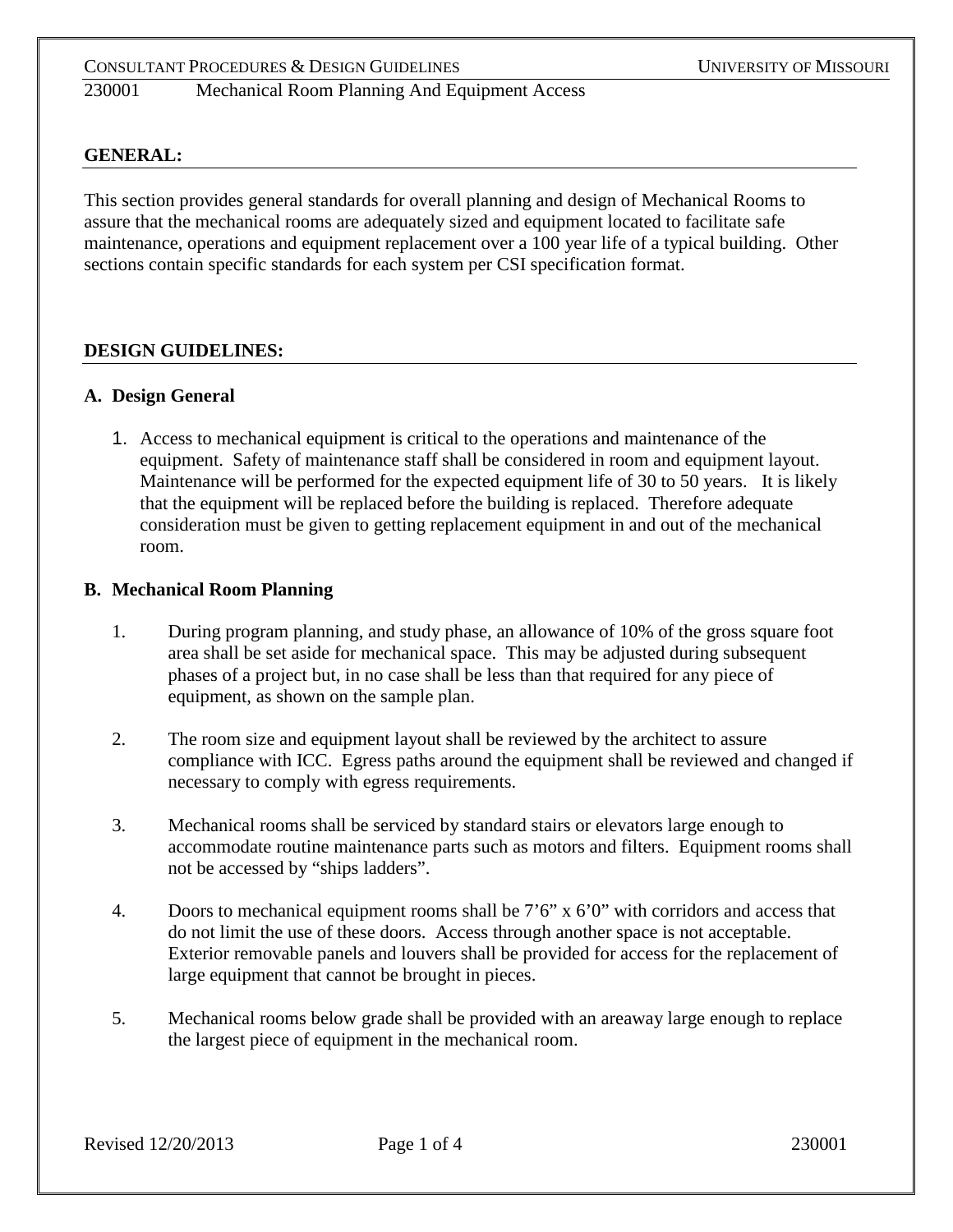### **GENERAL:**

This section provides general standards for overall planning and design of Mechanical Rooms to assure that the mechanical rooms are adequately sized and equipment located to facilitate safe maintenance, operations and equipment replacement over a 100 year life of a typical building. Other sections contain specific standards for each system per CSI specification format.

#### **DESIGN GUIDELINES:**

#### **A. Design General**

1. Access to mechanical equipment is critical to the operations and maintenance of the equipment. Safety of maintenance staff shall be considered in room and equipment layout. Maintenance will be performed for the expected equipment life of 30 to 50 years. It is likely that the equipment will be replaced before the building is replaced. Therefore adequate consideration must be given to getting replacement equipment in and out of the mechanical room.

#### **B. Mechanical Room Planning**

- 1. During program planning, and study phase, an allowance of 10% of the gross square foot area shall be set aside for mechanical space. This may be adjusted during subsequent phases of a project but, in no case shall be less than that required for any piece of equipment, as shown on the sample plan.
- 2. The room size and equipment layout shall be reviewed by the architect to assure compliance with ICC. Egress paths around the equipment shall be reviewed and changed if necessary to comply with egress requirements.
- 3. Mechanical rooms shall be serviced by standard stairs or elevators large enough to accommodate routine maintenance parts such as motors and filters. Equipment rooms shall not be accessed by "ships ladders".
- 4. Doors to mechanical equipment rooms shall be 7'6" x 6'0" with corridors and access that do not limit the use of these doors. Access through another space is not acceptable. Exterior removable panels and louvers shall be provided for access for the replacement of large equipment that cannot be brought in pieces.
- 5. Mechanical rooms below grade shall be provided with an areaway large enough to replace the largest piece of equipment in the mechanical room.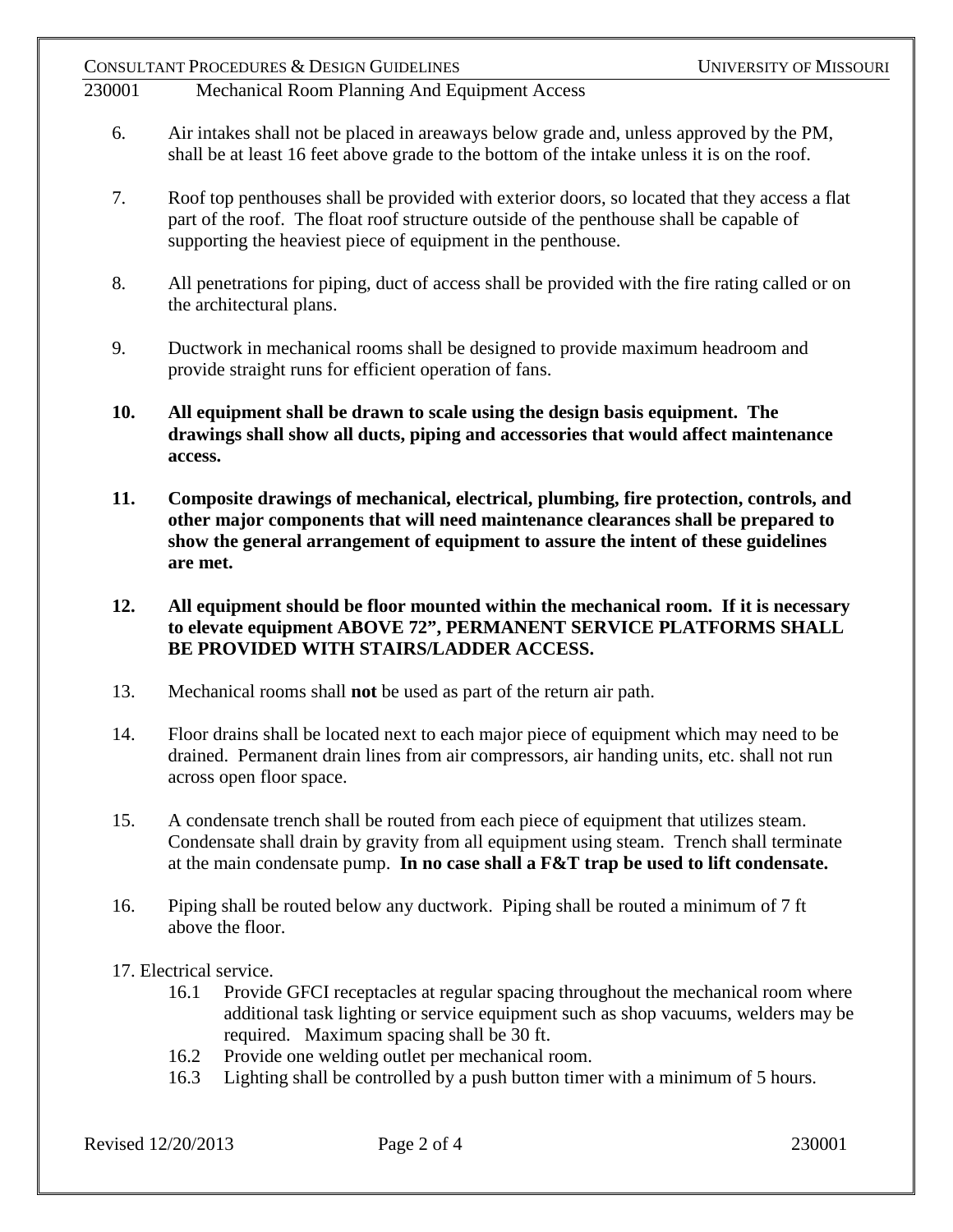# 230001 Mechanical Room Planning And Equipment Access

- 6. Air intakes shall not be placed in areaways below grade and, unless approved by the PM, shall be at least 16 feet above grade to the bottom of the intake unless it is on the roof.
- 7. Roof top penthouses shall be provided with exterior doors, so located that they access a flat part of the roof. The float roof structure outside of the penthouse shall be capable of supporting the heaviest piece of equipment in the penthouse.
- 8. All penetrations for piping, duct of access shall be provided with the fire rating called or on the architectural plans.
- 9. Ductwork in mechanical rooms shall be designed to provide maximum headroom and provide straight runs for efficient operation of fans.
- **10. All equipment shall be drawn to scale using the design basis equipment. The drawings shall show all ducts, piping and accessories that would affect maintenance access.**
- **11. Composite drawings of mechanical, electrical, plumbing, fire protection, controls, and other major components that will need maintenance clearances shall be prepared to show the general arrangement of equipment to assure the intent of these guidelines are met.**
- **12. All equipment should be floor mounted within the mechanical room. If it is necessary to elevate equipment ABOVE 72", PERMANENT SERVICE PLATFORMS SHALL BE PROVIDED WITH STAIRS/LADDER ACCESS.**
- 13. Mechanical rooms shall **not** be used as part of the return air path.
- 14. Floor drains shall be located next to each major piece of equipment which may need to be drained. Permanent drain lines from air compressors, air handing units, etc. shall not run across open floor space.
- 15. A condensate trench shall be routed from each piece of equipment that utilizes steam. Condensate shall drain by gravity from all equipment using steam. Trench shall terminate at the main condensate pump. **In no case shall a F&T trap be used to lift condensate.**
- 16. Piping shall be routed below any ductwork. Piping shall be routed a minimum of 7 ft above the floor.
- 17. Electrical service.
	- 16.1 Provide GFCI receptacles at regular spacing throughout the mechanical room where additional task lighting or service equipment such as shop vacuums, welders may be required. Maximum spacing shall be 30 ft.
	- 16.2 Provide one welding outlet per mechanical room.
	- 16.3 Lighting shall be controlled by a push button timer with a minimum of 5 hours.

Revised 12/20/2013 Page 2 of 4 230001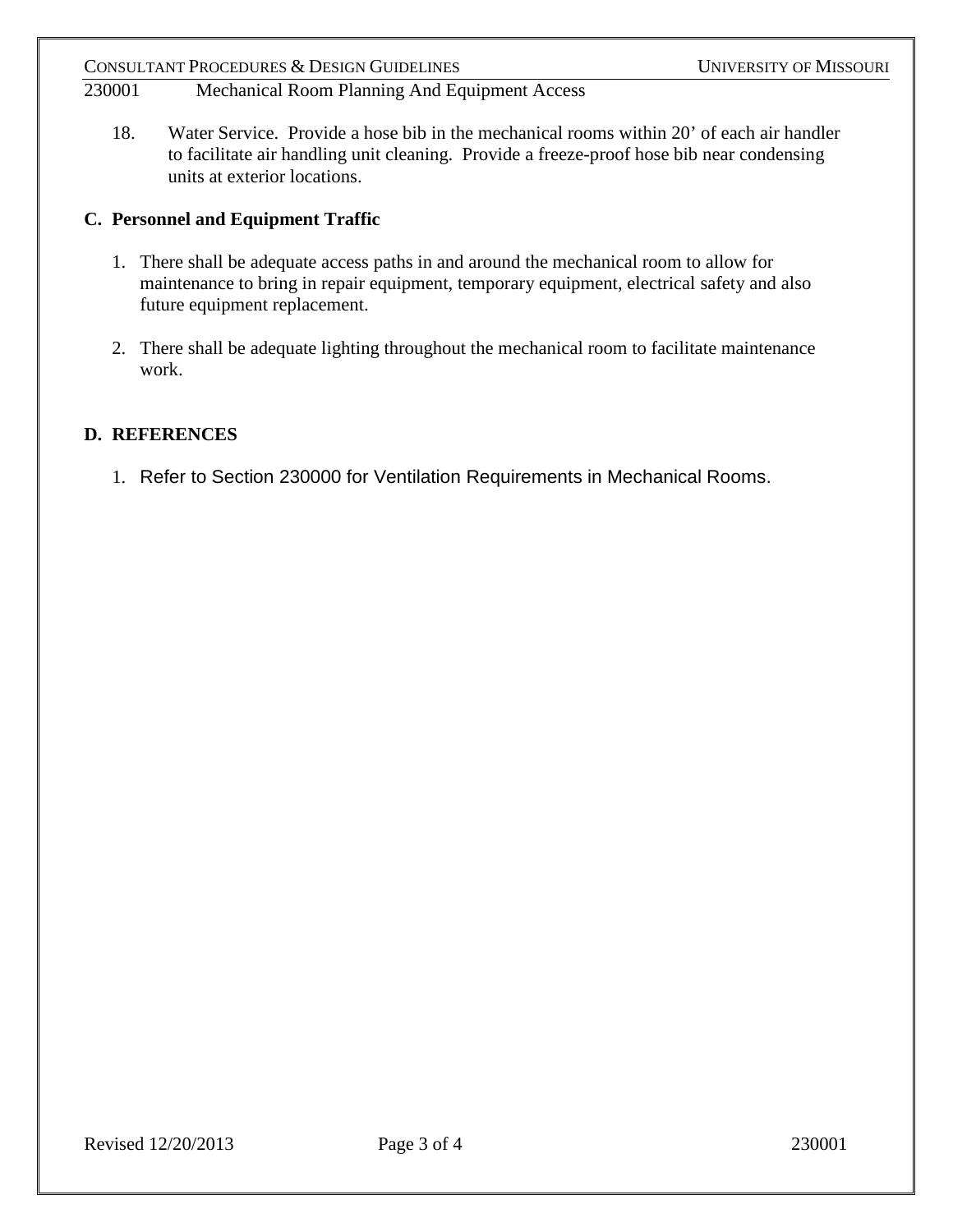# 230001 Mechanical Room Planning And Equipment Access

18. Water Service. Provide a hose bib in the mechanical rooms within 20' of each air handler to facilitate air handling unit cleaning. Provide a freeze-proof hose bib near condensing units at exterior locations.

# **C. Personnel and Equipment Traffic**

- 1. There shall be adequate access paths in and around the mechanical room to allow for maintenance to bring in repair equipment, temporary equipment, electrical safety and also future equipment replacement.
- 2. There shall be adequate lighting throughout the mechanical room to facilitate maintenance work.

# **D. REFERENCES**

1. Refer to Section 230000 for Ventilation Requirements in Mechanical Rooms.